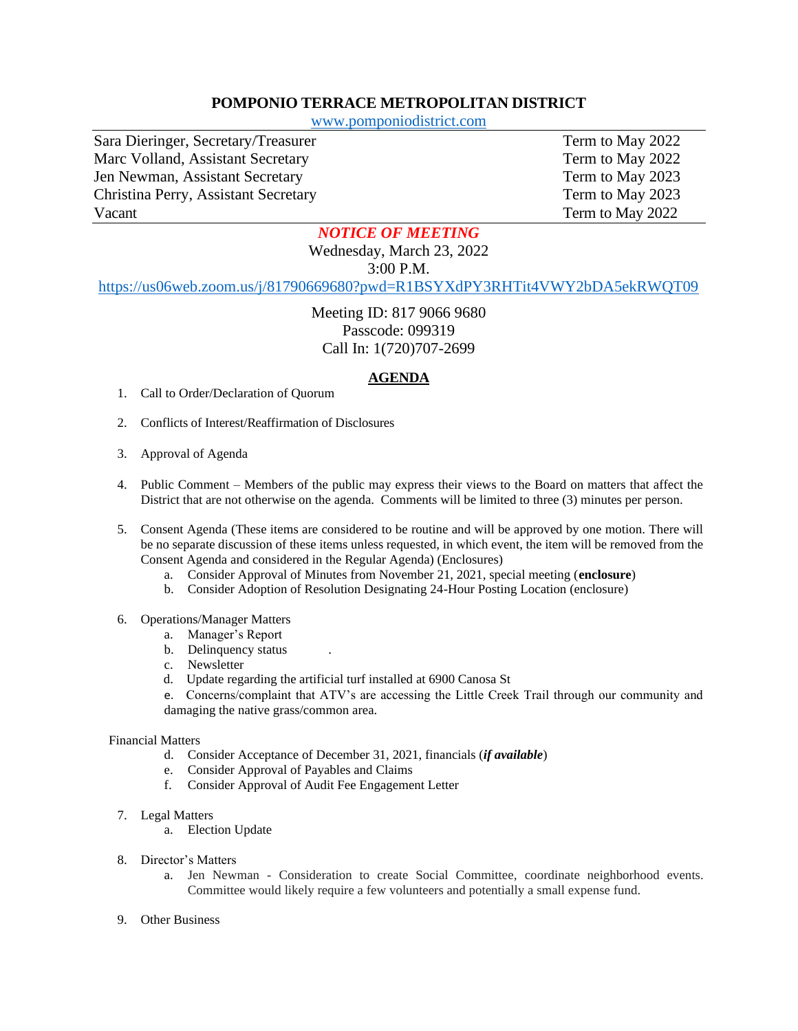## **POMPONIO TERRACE METROPOLITAN DISTRICT**

[www.pomponiodistrict.com](http://www.pomponiodistrict.com/)

Sara Dieringer, Secretary/Treasurer Term to May 2022 Marc Volland, Assistant Secretary Term to May 2022 Jen Newman, Assistant Secretary Term to May 2023 Christina Perry, Assistant Secretary Term to May 2023 Vacant Term to May 2022

## *NOTICE OF MEETING*

Wednesday, March 23, 2022

3:00 P.M.

<https://us06web.zoom.us/j/81790669680?pwd=R1BSYXdPY3RHTit4VWY2bDA5ekRWQT09>

Meeting ID: 817 9066 9680 Passcode: 099319 Call In: 1(720)707-2699

## **AGENDA**

- 1. Call to Order/Declaration of Quorum
- 2. Conflicts of Interest/Reaffirmation of Disclosures
- 3. Approval of Agenda
- 4. Public Comment Members of the public may express their views to the Board on matters that affect the District that are not otherwise on the agenda. Comments will be limited to three (3) minutes per person.
- 5. Consent Agenda (These items are considered to be routine and will be approved by one motion. There will be no separate discussion of these items unless requested, in which event, the item will be removed from the Consent Agenda and considered in the Regular Agenda) (Enclosures)
	- a. Consider Approval of Minutes from November 21, 2021, special meeting (**enclosure**)
	- b. Consider Adoption of Resolution Designating 24-Hour Posting Location (enclosure)
- 6. Operations/Manager Matters
	- a. Manager's Report
	- b. Delinquency status
	- c. Newsletter
	- d. Update regarding the artificial turf installed at 6900 Canosa St
	- e. Concerns/complaint that ATV's are accessing the Little Creek Trail through our community and damaging the native grass/common area.

## Financial Matters

- d. Consider Acceptance of December 31, 2021, financials (*if available*)
- e. Consider Approval of Payables and Claims
- f. Consider Approval of Audit Fee Engagement Letter
- 7. Legal Matters
	- a. Election Update
- 8. Director's Matters
	- a. Jen Newman Consideration to create Social Committee, coordinate neighborhood events. Committee would likely require a few volunteers and potentially a small expense fund.
- 9. Other Business